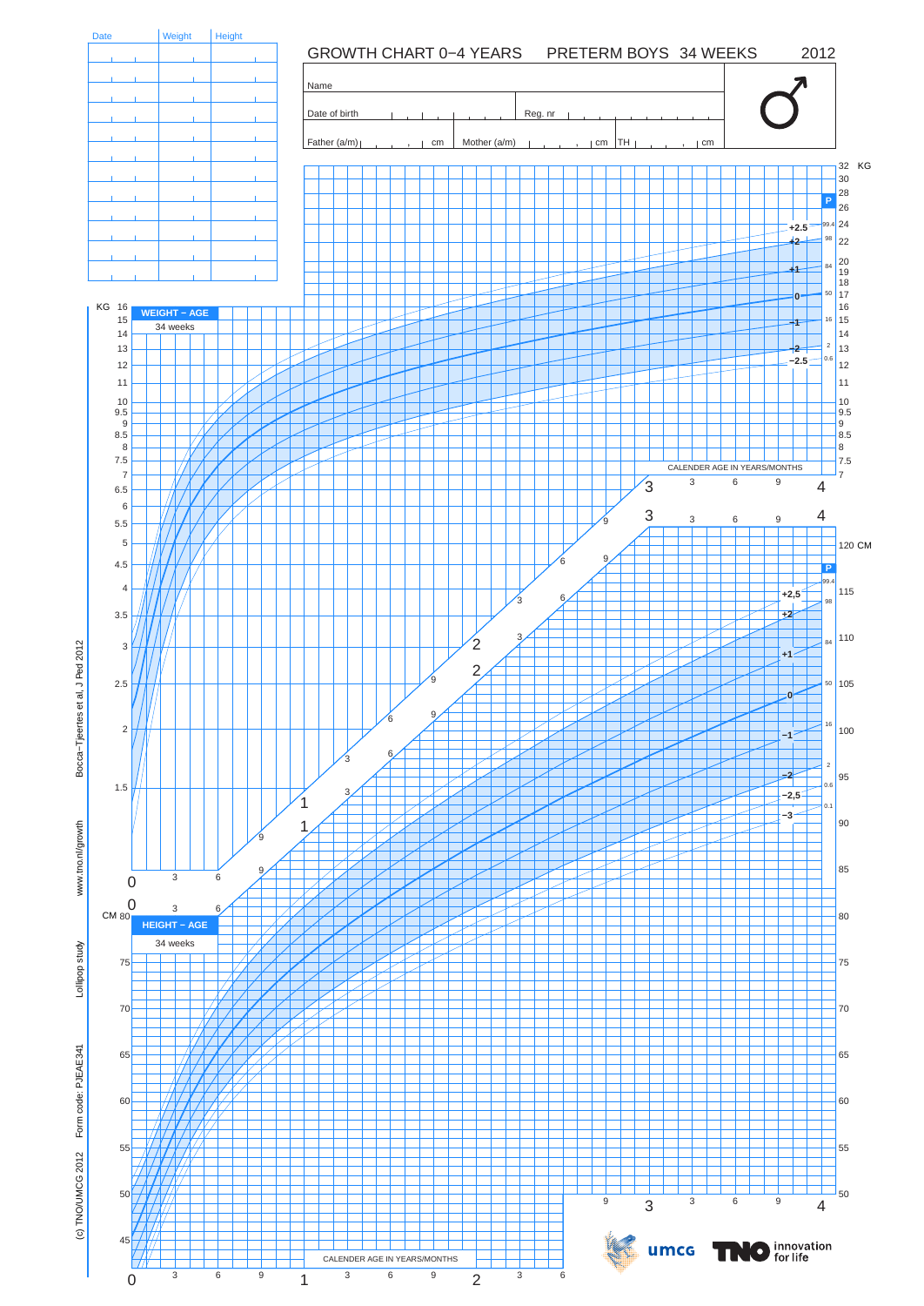